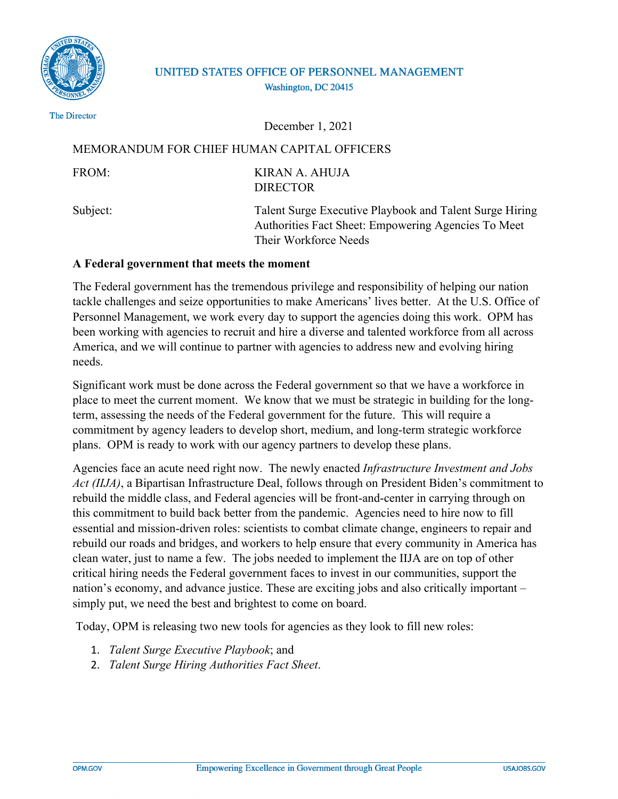

# UNITED STATES OFFICE OF PERSONNEL MANAGEMENT Washington, DC 20415

The Director

December 1, 2021

## MEMORANDUM FOR CHIEF HUMAN CAPITAL OFFICERS

FROM: KIRAN A. AHUJA DIRECTOR

Subject: Talent Surge Executive Playbook and Talent Surge Hiring Authorities Fact Sheet: Empowering Agencies To Meet Their Workforce Needs

## **A Federal government that meets the moment**

The Federal government has the tremendous privilege and responsibility of helping our nation tackle challenges and seize opportunities to make Americans' lives better. At the U.S. Office of Personnel Management, we work every day to support the agencies doing this work. OPM has been working with agencies to recruit and hire a diverse and talented workforce from all across America, and we will continue to partner with agencies to address new and evolving hiring needs.

Significant work must be done across the Federal government so that we have a workforce in place to meet the current moment. We know that we must be strategic in building for the longterm, assessing the needs of the Federal government for the future. This will require a commitment by agency leaders to develop short, medium, and long-term strategic workforce plans. OPM is ready to work with our agency partners to develop these plans.

Agencies face an acute need right now. The newly enacted *Infrastructure Investment and Jobs Act (IIJA)*, a Bipartisan Infrastructure Deal, follows through on President Biden's commitment to rebuild the middle class, and Federal agencies will be front-and-center in carrying through on this commitment to build back better from the pandemic. Agencies need to hire now to fill essential and mission-driven roles: scientists to combat climate change, engineers to repair and rebuild our roads and bridges, and workers to help ensure that every community in America has clean water, just to name a few. The jobs needed to implement the IIJA are on top of other critical hiring needs the Federal government faces to invest in our communities, support the nation's economy, and advance justice. These are exciting jobs and also critically important – simply put, we need the best and brightest to come on board.

Today, OPM is releasing two new tools for agencies as they look to fill new roles:

- 1. *Talent Surge Executive Playbook*; and
- 2. *Talent Surge Hiring Authorities Fact Sheet*.